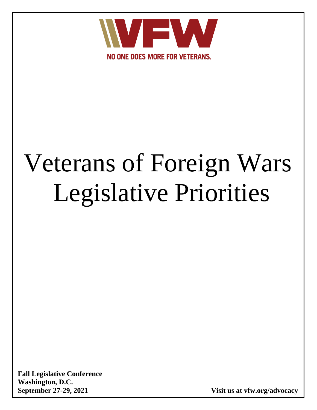

# Veterans of Foreign Wars Legislative Priorities

**Fall Legislative Conference Washington, D.C.**

**September 27-29, 2021 Visit us at vfw.org/advocacy**

**www.vfw.org/LegislativePriorities**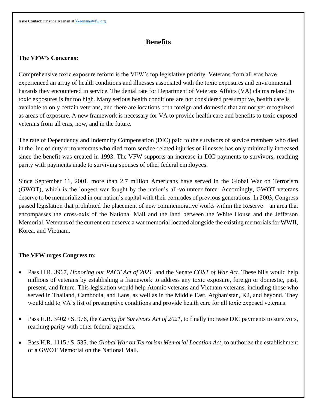## **Benefits**

#### **The VFW's Concerns:**

Comprehensive toxic exposure reform is the VFW's top legislative priority. Veterans from all eras have experienced an array of health conditions and illnesses associated with the toxic exposures and environmental hazards they encountered in service. The denial rate for Department of Veterans Affairs (VA) claims related to toxic exposures is far too high. Many serious health conditions are not considered presumptive, health care is available to only certain veterans, and there are locations both foreign and domestic that are not yet recognized as areas of exposure. A new framework is necessary for VA to provide health care and benefits to toxic exposed veterans from all eras, now, and in the future.

The rate of Dependency and Indemnity Compensation (DIC) paid to the survivors of service members who died in the line of duty or to veterans who died from service-related injuries or illnesses has only minimally increased since the benefit was created in 1993. The VFW supports an increase in DIC payments to survivors, reaching parity with payments made to surviving spouses of other federal employees.

Since September 11, 2001, more than 2.7 million Americans have served in the Global War on Terrorism (GWOT), which is the longest war fought by the nation's all-volunteer force. Accordingly, GWOT veterans deserve to be memorialized in our nation's capital with their comrades of previous generations. In 2003, Congress passed legislation that prohibited the placement of new commemorative works within the Reserve––an area that encompasses the cross-axis of the National Mall and the land between the White House and the Jefferson Memorial. Veterans of the current era deserve a war memorial located alongside the existing memorials for WWII, Korea, and Vietnam.

- Pass H.R. 3967, *Honoring our PACT Act of 2021*, and the Senate *COST of War Act*. These bills would help millions of veterans by establishing a framework to address any toxic exposure, foreign or domestic, past, present, and future. This legislation would help Atomic veterans and Vietnam veterans, including those who served in Thailand, Cambodia, and Laos, as well as in the Middle East, Afghanistan, K2, and beyond. They would add to VA's list of presumptive conditions and provide health care for all toxic exposed veterans.
- Pass H.R. 3402 / S. 976, the *Caring for Survivors Act of 2021*, to finally increase DIC payments to survivors, reaching parity with other federal agencies.
- Pass H.R. 1115 / S. 535, the *Global War on Terrorism Memorial Location Act*, to authorize the establishment of a GWOT Memorial on the National Mall.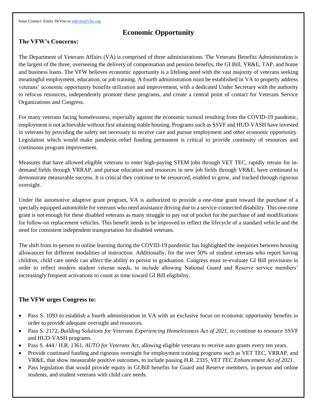Issue Contact: Emily DeVito a[t edevito@vfw.org](mailto:edevito@vfw.org)

# **Economic Opportunity**

## **The VFW's Concerns:**

The Department of Veterans Affairs (VA) is comprised of three administrations. The Veterans Benefits Administration is the largest of the three, overseeing the delivery of compensation and pension benefits, the GI Bill, VR&E, TAP, and home and business loans. The VFW believes economic opportunity is a lifelong need with the vast majority of veterans seeking meaningful employment, education, or job training. A fourth administration must be established in VA to properly address veterans' economic opportunity benefits utilization and improvement, with a dedicated Under Secretary with the authority to refocus resources, independently promote these programs, and create a central point of contact for Veterans Service Organizations and Congress.

For many veterans facing homelessness, especially against the economic turmoil resulting from the COVID-19 pandemic, employment is not achievable without first attaining stable housing. Programs such as SSVF and HUD-VASH have invested in veterans by providing the safety net necessary to receive care and pursue employment and other economic opportunity. Legislation which would make pandemic-relief funding permanent is critical to provide continuity of resources and continuous program improvement.

Measures that have allowed eligible veterans to enter high-paying STEM jobs through VET TEC, rapidly retrain for indemand fields through VRRAP, and pursue education and resources in new job fields through VR&E, have continued to demonstrate measurable success. It is critical they continue to be resourced, enabled to grow, and tracked through rigorous oversight.

Under the automotive adaptive grant program, VA is authorized to provide a one-time grant toward the purchase of a specially equipped automobile for veterans who need assistance driving due to a service-connected disability. This one-time grant is not enough for these disabled veterans as many struggle to pay out of pocket for the purchase of and modifications for follow-on replacement vehicles. This benefit needs to be improved to reflect the lifecycle of a standard vehicle and the need for consistent independent transportation for disabled veterans.

The shift from in-person to online learning during the COVID-19 pandemic has highlighted the inequities between housing allowances for different modalities of instruction. Additionally, for the over 50% of student veterans who report having children, child care needs can affect the ability to persist to graduation. Congress must re-evaluate GI Bill provisions in order to reflect modern student veteran needs, to include allowing National Guard and Reserve service members' increasingly frequent activations to count as time toward GI Bill eligibility.

- Pass S. 1093 to establish a fourth administration in VA with an exclusive focus on economic opportunity benefits in order to provide adequate oversight and resources.
- Pass S. 2172, *Building Solutions for Veterans Experiencing Homelessness Act of 2021,* to continue to resource SSVF and HUD-VASH programs.
- Pass S. 444 / H.R. 1361, *AUTO for Veterans Act*, allowing eligible veterans to receive auto grants every ten years.
- Provide continued funding and rigorous oversight for employment training programs such as VET TEC, VRRAP, and VR&E, that show measurable positive outcomes, to include passing H.R. 2335, *VET TEC Enhancement Act of 2021*.
- Pass legislation that would provide equity in GI.Bill benefits for Guard and Reserve members, in-person and online students, and student veterans with child care needs.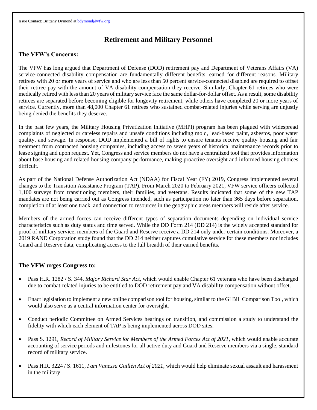# **Retirement and Military Personnel**

#### **The VFW's Concerns:**

The VFW has long argued that Department of Defense (DOD) retirement pay and Department of Veterans Affairs (VA) service-connected disability compensation are fundamentally different benefits, earned for different reasons. Military retirees with 20 or more years of service and who are less than 50 percent service-connected disabled are required to offset their retiree pay with the amount of VA disability compensation they receive. Similarly, Chapter 61 retirees who were medically retired with less than 20 years of military service face the same dollar-for-dollar offset. As a result, some disability retirees are separated before becoming eligible for longevity retirement, while others have completed 20 or more years of service. Currently, more than 48,000 Chapter 61 retirees who sustained combat-related injuries while serving are unjustly being denied the benefits they deserve.

In the past few years, the Military Housing Privatization Initiative (MHPI) program has been plagued with widespread complaints of neglected or careless repairs and unsafe conditions including mold, lead-based paint, asbestos, poor water quality, and sewage. In response, DOD implemented a bill of rights to ensure tenants receive quality housing and fair treatment from contracted housing companies, including access to seven years of historical maintenance records prior to lease signing and upon request. Yet, Congress and service members do not have a centralized tool that provides information about base housing and related housing company performance, making proactive oversight and informed housing choices difficult.

As part of the National Defense Authorization Act (NDAA) for Fiscal Year (FY) 2019, Congress implemented several changes to the Transition Assistance Program (TAP). From March 2020 to February 2021, VFW service officers collected 1,100 surveys from transitioning members, their families, and veterans. Results indicated that some of the new TAP mandates are not being carried out as Congress intended, such as participation no later than 365 days before separation, completion of at least one track, and connection to resources in the geographic areas members will reside after service.

Members of the armed forces can receive different types of separation documents depending on individual service characteristics such as duty status and time served. While the DD Form 214 (DD 214) is the widely accepted standard for proof of military service, members of the Guard and Reserve receive a DD 214 only under certain conditions. Moreover, a 2019 RAND Corporation study found that the DD 214 neither captures cumulative service for these members nor includes Guard and Reserve data, complicating access to the full breadth of their earned benefits.

- Pass H.R. 1282 / S. 344, *Major Richard Star Act*, which would enable Chapter 61 veterans who have been discharged due to combat-related injuries to be entitled to DOD retirement pay and VA disability compensation without offset.
- Enact legislation to implement a new online comparison tool for housing, similar to the GI Bill Comparison Tool, which would also serve as a central information center for oversight.
- Conduct periodic Committee on Armed Services hearings on transition, and commission a study to understand the fidelity with which each element of TAP is being implemented across DOD sites.
- Pass S. 1291, *Record of Military Service for Members of the Armed Forces Act of 2021*, which would enable accurate accounting of service periods and milestones for all active duty and Guard and Reserve members via a single, standard record of military service.
- Pass H.R. 3224 / S. 1611, *I am Vanessa Guillén Act of 2021*, which would help eliminate sexual assault and harassment in the military.